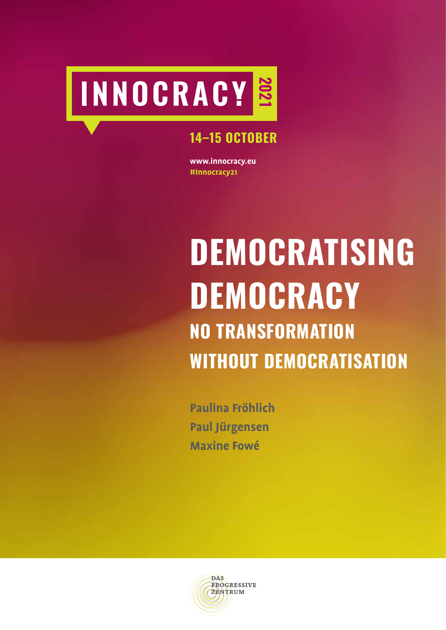# **2021**

# **14–15 OCTOBER**

**www.innocracy.eu #Innocracy21**

# **DEMOCRATISING DEMOCRACY NO TRANSFORMATION WITHOUT DEMOCRATISATION**

**Paulina Fröhlich Paul Jürgensen Maxine Fowé**

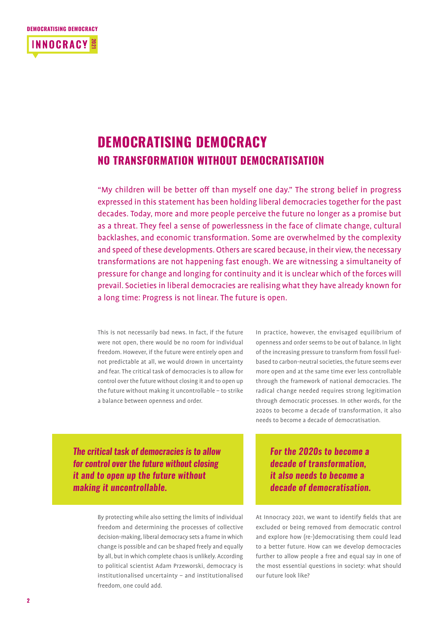#### **DEMOCRATISING DEMOCRACY**



# **DEMOCRATISING DEMOCRACY NO TRANSFORMATION WITHOUT DEMOCRATISATION**

"My children will be better off than myself one day." The strong belief in progress expressed in this statement has been holding liberal democracies together for the past decades. Today, more and more people perceive the future no longer as a promise but as a threat. They feel a sense of powerlessness in the face of climate change, cultural backlashes, and economic transformation. Some are overwhelmed by the complexity and speed of these developments. Others are scared because, in their view, the necessary transformations are not happening fast enough. We are witnessing a simultaneity of pressure for change and longing for continuity and it is unclear which of the forces will prevail. Societies in liberal democracies are realising what they have already known for a long time: Progress is not linear. The future is open.

This is not necessarily bad news. In fact, if the future were not open, there would be no room for individual freedom. However, if the future were entirely open and not predictable at all, we would drown in uncertainty and fear. The critical task of democracies is to allow for control over the future without closing it and to open up the future without making it uncontrollable – to strike a balance between openness and order.

In practice, however, the envisaged equilibrium of openness and order seems to be out of balance. In light of the increasing pressure to transform from fossil fuelbased to carbon-neutral societies, the future seems ever more open and at the same time ever less controllable through the framework of national democracies. The radical change needed requires strong legitimation through democratic processes. In other words, for the 2020s to become a decade of transformation, it also needs to become a decade of democratisation.

*The critical task of democracies is to allow for control over the future without closing it and to open up the future without making it uncontrollable.*

> By protecting while also setting the limits of individual freedom and determining the processes of collective decision-making, liberal democracy sets a frame in which change is possible and can be shaped freely and equally by all, but in which complete chaos is unlikely. According to political scientist Adam Przeworski, democracy is institutionalised uncertainty – and institutionalised freedom, one could add.

*For the 2020s to become a decade of transformation, it also needs to become a decade of democratisation.* 

At Innocracy 2021, we want to identify fields that are excluded or being removed from democratic control and explore how (re-)democratising them could lead to a better future. How can we develop democracies further to allow people a free and equal say in one of the most essential questions in society: what should our future look like?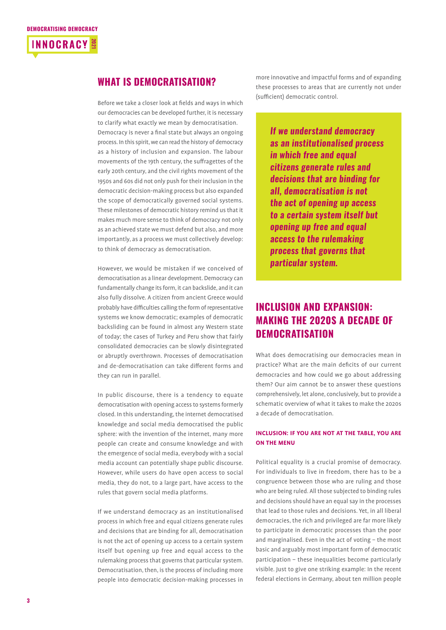

#### **WHAT IS DEMOCRATISATION?**

Before we take a closer look at fields and ways in which our democracies can be developed further, it is necessary to clarify what exactly we mean by democratisation. Democracy is never a final state but always an ongoing process. In this spirit, we can read the history of democracy as a history of inclusion and expansion. The labour movements of the 19th century, the suffragettes of the early 20th century, and the civil rights movement of the 1950s and 60s did not only push for their inclusion in the democratic decision-making process but also expanded the scope of democratically governed social systems. These milestones of democratic history remind us that it makes much more sense to think of democracy not only as an achieved state we must defend but also, and more importantly, as a process we must collectively develop: to think of democracy as democratisation.

However, we would be mistaken if we conceived of democratisation as a linear development. Democracy can fundamentally change its form, it can backslide, and it can also fully dissolve. A citizen from ancient Greece would probably have difficulties calling the form of representative systems we know democratic; examples of democratic backsliding can be found in almost any Western state of today; the cases of Turkey and Peru show that fairly consolidated democracies can be slowly disintegrated or abruptly overthrown. Processes of democratisation and de-democratisation can take different forms and they can run in parallel.

In public discourse, there is a tendency to equate democratisation with opening access to systems formerly closed. In this understanding, the internet democratised knowledge and social media democratised the public sphere: with the invention of the internet, many more people can create and consume knowledge and with the emergence of social media, everybody with a social media account can potentially shape public discourse. However, while users do have open access to social media, they do not, to a large part, have access to the rules that govern social media platforms.

If we understand democracy as an institutionalised process in which free and equal citizens generate rules and decisions that are binding for all, democratisation is not the act of opening up access to a certain system itself but opening up free and equal access to the rulemaking process that governs that particular system. Democratisation, then, is the process of including more people into democratic decision-making processes in

more innovative and impactful forms and of expanding these processes to areas that are currently not under (sufficient) democratic control.

> *If we understand democracy as an institutionalised process in which free and equal citizens generate rules and decisions that are binding for all, democratisation is not the act of opening up access to a certain system itself but opening up free and equal access to the rulemaking process that governs that particular system.*

## **INCLUSION AND EXPANSION: MAKING THE 2020S A DECADE OF DEMOCRATISATION**

What does democratising our democracies mean in practice? What are the main deficits of our current democracies and how could we go about addressing them? Our aim cannot be to answer these questions comprehensively, let alone, conclusively, but to provide a schematic overview of what it takes to make the 2020s a decade of democratisation.

#### **INCLUSION: IF YOU ARE NOT AT THE TABLE, YOU ARE ON THE MENU**

Political equality is a crucial promise of democracy. For individuals to live in freedom, there has to be a congruence between those who are ruling and those who are being ruled. All those subjected to binding rules and decisions should have an equal say in the processes that lead to those rules and decisions. Yet, in all liberal democracies, the rich and privileged are far more likely to participate in democratic processes than the poor and marginalised. Even in the act of voting – the most basic and arguably most important form of democratic participation – these inequalities become particularly visible. Just to give one striking example: In the recent federal elections in Germany, about ten million people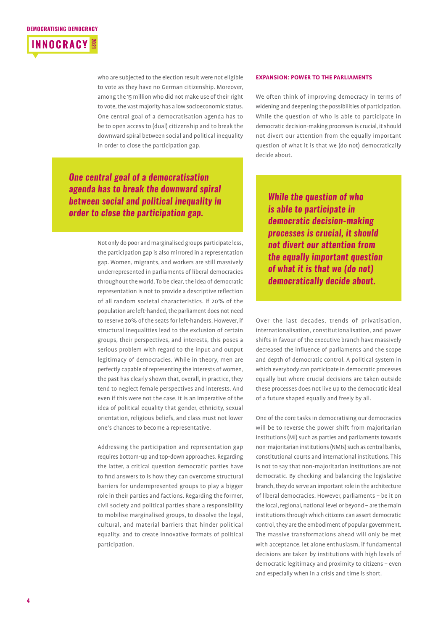

who are subjected to the election result were not eligible to vote as they have no German citizenship. Moreover, among the 15 million who did not make use of their right to vote, the vast majority has a low socioeconomic status. One central goal of a democratisation agenda has to be to open access to (dual) citizenship and to break the downward spiral between social and political inequality in order to close the participation gap.

*One central goal of a democratisation agenda has to break the downward spiral between social and political inequality in order to close the participation gap.*

> Not only do poor and marginalised groups participate less, the participation gap is also mirrored in a representation gap. Women, migrants, and workers are still massively underrepresented in parliaments of liberal democracies throughout the world. To be clear, the idea of democratic representation is not to provide a descriptive reflection of all random societal characteristics. If 20% of the population are left-handed, the parliament does not need to reserve 20% of the seats for left-handers. However, if structural inequalities lead to the exclusion of certain groups, their perspectives, and interests, this poses a serious problem with regard to the input and output legitimacy of democracies. While in theory, men are perfectly capable of representing the interests of women, the past has clearly shown that, overall, in practice, they tend to neglect female perspectives and interests. And even if this were not the case, it is an imperative of the idea of political equality that gender, ethnicity, sexual orientation, religious beliefs, and class must not lower one's chances to become a representative.

> Addressing the participation and representation gap requires bottom-up and top-down approaches. Regarding the latter, a critical question democratic parties have to find answers to is how they can overcome structural barriers for underrepresented groups to play a bigger role in their parties and factions. Regarding the former, civil society and political parties share a responsibility to mobilise marginalised groups, to dissolve the legal, cultural, and material barriers that hinder political equality, and to create innovative formats of political participation.

#### **EXPANSION: POWER TO THE PARLIAMENTS**

We often think of improving democracy in terms of widening and deepening the possibilities of participation. While the question of who is able to participate in democratic decision-making processes is crucial, it should not divert our attention from the equally important question of what it is that we (do not) democratically decide about.

*While the question of who is able to participate in democratic decision-making processes is crucial, it should not divert our attention from the equally important question of what it is that we (do not) democratically decide about.*

Over the last decades, trends of privatisation, internationalisation, constitutionalisation, and power shifts in favour of the executive branch have massively decreased the influence of parliaments and the scope and depth of democratic control. A political system in which everybody can participate in democratic processes equally but where crucial decisions are taken outside these processes does not live up to the democratic ideal of a future shaped equally and freely by all.

One of the core tasks in democratising our democracies will be to reverse the power shift from majoritarian institutions (MI) such as parties and parliaments towards non-majoritarian institutions (NMIs) such as central banks, constitutional courts and international institutions. This is not to say that non-majoritarian institutions are not democratic. By checking and balancing the legislative branch, they do serve an important role in the architecture of liberal democracies. However, parliaments – be it on the local, regional, national level or beyond – are the main institutions through which citizens can assert democratic control, they are the embodiment of popular government. The massive transformations ahead will only be met with acceptance, let alone enthusiasm, if fundamental decisions are taken by institutions with high levels of democratic legitimacy and proximity to citizens – even and especially when in a crisis and time is short.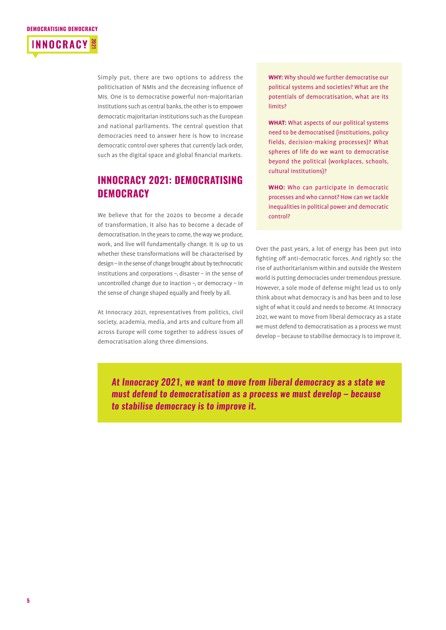

Simply put, there are two options to address the politicisation of NMIs and the decreasing influence of MIs. One is to democratise powerful non-majoritarian institutions such as central banks, the other is to empower democratic majoritarian institutions such as the European and national parliaments. The central question that democracies need to answer here is how to increase democratic control over spheres that currently lack order, such as the digital space and global financial markets.

### **INNOCRACY 2021: DEMOCRATISING DEMOCRACY**

We believe that for the 2020s to become a decade of transformation, it also has to become a decade of democratisation. In the years to come, the way we produce, work, and live will fundamentally change. It is up to us whether these transformations will be characterised by design – in the sense of change brought about by technocratic institutions and corporations –, disaster – in the sense of uncontrolled change due to inaction –, or democracy – in the sense of change shaped equally and freely by all.

At Innocracy 2021, representatives from politics, civil society, academia, media, and arts and culture from all across Europe will come together to address issues of democratisation along three dimensions.

**WHY:** Why should we further democratise our political systems and societies? What are the potentials of democratisation, what are its limits?

**WHAT:** What aspects of our political systems need to be democratised (institutions, policy fields, decision-making processes)? What spheres of life do we want to democratise beyond the political (workplaces, schools, cultural institutions)?

**WHO:** Who can participate in democratic processes and who cannot? How can we tackle inequalities in political power and democratic control?

Over the past years, a lot of energy has been put into fighting off anti-democratic forces. And rightly so: the rise of authoritarianism within and outside the Western world is putting democracies under tremendous pressure. However, a sole mode of defense might lead us to only think about what democracy is and has been and to lose sight of what it could and needs to become. At Innocracy 2021, we want to move from liberal democracy as a state we must defend to democratisation as a process we must develop – because to stabilise democracy is to improve it.

*At Innocracy 2021, we want to move from liberal democracy as a state we must defend to democratisation as a process we must develop – because to stabilise democracy is to improve it.*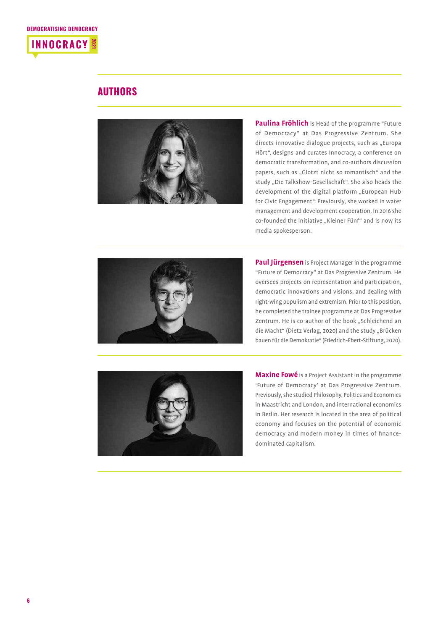

#### **AUTHORS**



**Paulina Fröhlich** is Head of the programme "Future of Democracy" at Das Progressive Zentrum. She directs innovative dialogue projects, such as "Europa Hört", designs and curates Innocracy, a conference on democratic transformation, and co-authors discussion papers, such as "Glotzt nicht so romantisch" and the study "Die Talkshow-Gesellschaft". She also heads the development of the digital platform "European Hub for Civic Engagement". Previously, she worked in water management and development cooperation. In 2016 she co-founded the initiative "Kleiner Fünf" and is now its media spokesperson.



**Paul Jürgensen** is Project Manager in the programme "Future of Democracy" at Das Progressive Zentrum. He oversees projects on representation and participation, democratic innovations and visions, and dealing with right-wing populism and extremism. Prior to this position, he completed the trainee programme at Das Progressive Zentrum. He is co-author of the book "Schleichend an die Macht" (Dietz Verlag, 2020) and the study "Brücken bauen für die Demokratie" (Friedrich-Ebert-Stiftung, 2020).



**Maxine Fowé** is a Project Assistant in the programme 'Future of Democracy' at Das Progressive Zentrum. Previously, she studied Philosophy, Politics and Economics in Maastricht and London, and international economics in Berlin. Her research is located in the area of political economy and focuses on the potential of economic democracy and modern money in times of financedominated capitalism.